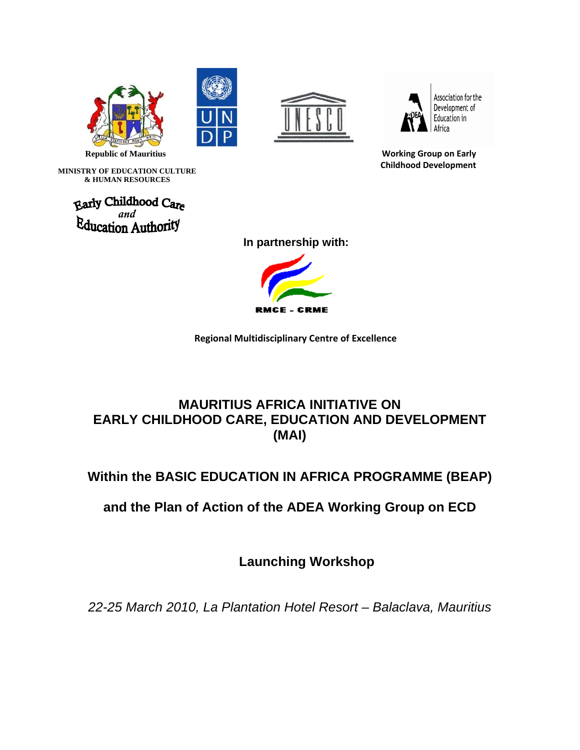







Association for the Development of Education in Africa

 **Republic of Mauritius Working Group on Early Childhood Development**

 **MINISTRY OF EDUCATION CULTURE & HUMAN RESOURCES** 

**Early Childhood Care**<br>**Education Authority** 

 **In partnership with:** 



 **Regional Multidisciplinary Centre of Excellence** 

### **MAURITIUS AFRICA INITIATIVE ON EARLY CHILDHOOD CARE, EDUCATION AND DEVELOPMENT (MAI)**

### **Within the BASIC EDUCATION IN AFRICA PROGRAMME (BEAP)**

**and the Plan of Action of the ADEA Working Group on ECD**

**Launching Workshop** 

*22-25 March 2010, La Plantation Hotel Resort – Balaclava, Mauritius*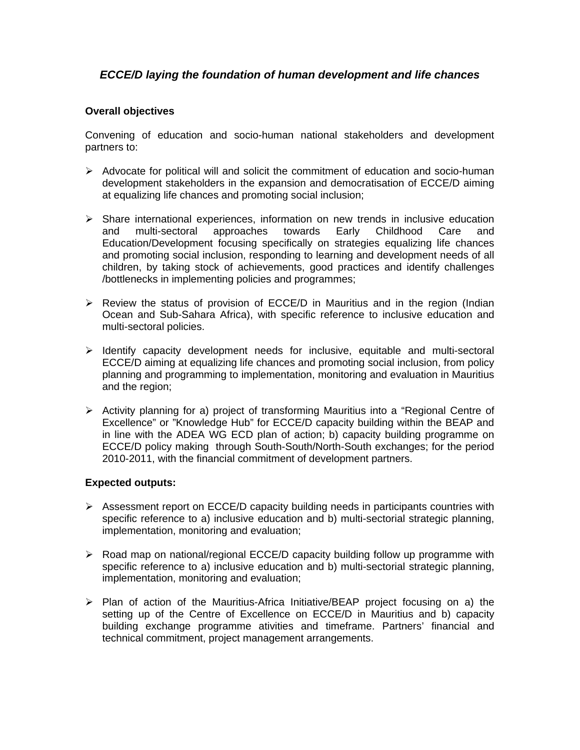### *ECCE/D laying the foundation of human development and life chances*

#### **Overall objectives**

Convening of education and socio-human national stakeholders and development partners to:

- $\triangleright$  Advocate for political will and solicit the commitment of education and socio-human development stakeholders in the expansion and democratisation of ECCE/D aiming at equalizing life chances and promoting social inclusion;
- $\triangleright$  Share international experiences, information on new trends in inclusive education and multi-sectoral approaches towards Early Childhood Care and Education/Development focusing specifically on strategies equalizing life chances and promoting social inclusion, responding to learning and development needs of all children, by taking stock of achievements, good practices and identify challenges /bottlenecks in implementing policies and programmes;
- $\triangleright$  Review the status of provision of ECCE/D in Mauritius and in the region (Indian Ocean and Sub-Sahara Africa), with specific reference to inclusive education and multi-sectoral policies.
- $\triangleright$  Identify capacity development needs for inclusive, equitable and multi-sectoral ECCE/D aiming at equalizing life chances and promoting social inclusion, from policy planning and programming to implementation, monitoring and evaluation in Mauritius and the region;
- $\triangleright$  Activity planning for a) project of transforming Mauritius into a "Regional Centre of Excellence" or "Knowledge Hub" for ECCE/D capacity building within the BEAP and in line with the ADEA WG ECD plan of action; b) capacity building programme on ECCE/D policy making through South-South/North-South exchanges; for the period 2010-2011, with the financial commitment of development partners.

#### **Expected outputs:**

- $\triangleright$  Assessment report on ECCE/D capacity building needs in participants countries with specific reference to a) inclusive education and b) multi-sectorial strategic planning, implementation, monitoring and evaluation;
- $\triangleright$  Road map on national/regional ECCE/D capacity building follow up programme with specific reference to a) inclusive education and b) multi-sectorial strategic planning, implementation, monitoring and evaluation;
- ¾ Plan of action of the Mauritius-Africa Initiative/BEAP project focusing on a) the setting up of the Centre of Excellence on ECCE/D in Mauritius and b) capacity building exchange programme ativities and timeframe. Partners' financial and technical commitment, project management arrangements.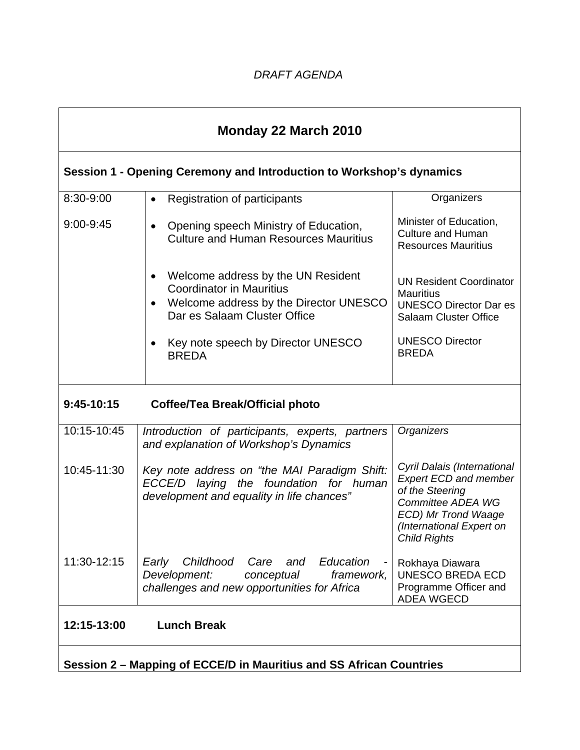# **Session 1 - Opening Ceremony and Introduction to Workshop's dynamics**

| 8:30-9:00                                                           | Registration of participants<br>$\bullet$                                                                                                                    | Organizers                                                                                                                                                                    |
|---------------------------------------------------------------------|--------------------------------------------------------------------------------------------------------------------------------------------------------------|-------------------------------------------------------------------------------------------------------------------------------------------------------------------------------|
| 9:00-9:45                                                           | Opening speech Ministry of Education,<br>$\bullet$<br><b>Culture and Human Resources Mauritius</b>                                                           | Minister of Education,<br><b>Culture and Human</b><br><b>Resources Mauritius</b>                                                                                              |
|                                                                     | Welcome address by the UN Resident<br>$\bullet$<br><b>Coordinator in Mauritius</b><br>Welcome address by the Director UNESCO<br>Dar es Salaam Cluster Office | <b>UN Resident Coordinator</b><br><b>Mauritius</b><br><b>UNESCO Director Dar es</b><br><b>Salaam Cluster Office</b>                                                           |
|                                                                     | Key note speech by Director UNESCO<br><b>BREDA</b>                                                                                                           | <b>UNESCO Director</b><br><b>BREDA</b>                                                                                                                                        |
| 9:45-10:15                                                          | <b>Coffee/Tea Break/Official photo</b>                                                                                                                       |                                                                                                                                                                               |
| $10:15 - 10:45$                                                     | Introduction of participants, experts, partners<br>and explanation of Workshop's Dynamics                                                                    | Organizers                                                                                                                                                                    |
| 10:45-11:30                                                         | Key note address on "the MAI Paradigm Shift:<br>laying the foundation for human<br>ECCE/D<br>development and equality in life chances"                       | Cyril Dalais (International<br><b>Expert ECD and member</b><br>of the Steering<br>Committee ADEA WG<br>ECD) Mr Trond Waage<br>(International Expert on<br><b>Child Rights</b> |
| 11:30-12:15                                                         | Childhood<br>and Education<br>Early<br>Care<br>Development:<br>conceptual<br>framework,<br>challenges and new opportunities for Africa                       | Rokhaya Diawara<br><b>UNESCO BREDA ECD</b><br>Programme Officer and<br><b>ADEA WGECD</b>                                                                                      |
| 12:15-13:00                                                         | <b>Lunch Break</b>                                                                                                                                           |                                                                                                                                                                               |
| Session 2 - Mapping of ECCE/D in Mauritius and SS African Countries |                                                                                                                                                              |                                                                                                                                                                               |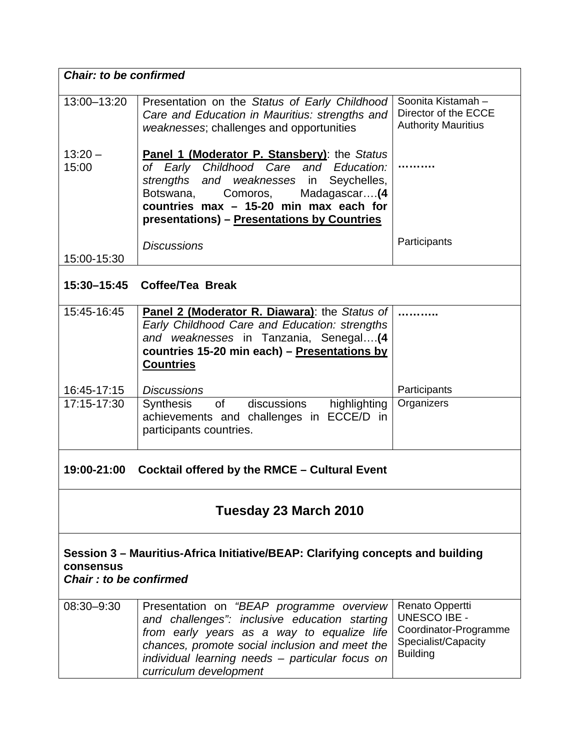|                                                                                                                              | <b>Chair: to be confirmed</b>                                                                                                                                                                                                                                                    |                                                                                                           |  |
|------------------------------------------------------------------------------------------------------------------------------|----------------------------------------------------------------------------------------------------------------------------------------------------------------------------------------------------------------------------------------------------------------------------------|-----------------------------------------------------------------------------------------------------------|--|
| 13:00-13:20                                                                                                                  | Presentation on the Status of Early Childhood<br>Care and Education in Mauritius: strengths and<br>weaknesses; challenges and opportunities                                                                                                                                      | Soonita Kistamah -<br>Director of the ECCE<br><b>Authority Mauritius</b>                                  |  |
| $13:20 -$<br>15:00                                                                                                           | <b>Panel 1 (Moderator P. Stansbery):</b> the Status<br>of Early Childhood Care and<br>Education:<br>strengths and weaknesses in<br>Seychelles,<br>Botswana,<br>Madagascar(4<br>Comoros,<br>countries max - 15-20 min max each for<br>presentations) - Presentations by Countries |                                                                                                           |  |
| 15:00-15:30                                                                                                                  | <b>Discussions</b>                                                                                                                                                                                                                                                               | Participants                                                                                              |  |
| 15:30-15:45                                                                                                                  | Coffee/Tea Break                                                                                                                                                                                                                                                                 |                                                                                                           |  |
| 15:45-16:45                                                                                                                  | Panel 2 (Moderator R. Diawara): the Status of<br>Early Childhood Care and Education: strengths<br>and weaknesses in Tanzania, Senegal (4<br>countries 15-20 min each) - Presentations by<br><b>Countries</b>                                                                     |                                                                                                           |  |
| 16:45-17:15                                                                                                                  | <b>Discussions</b>                                                                                                                                                                                                                                                               | Participants                                                                                              |  |
| 17:15-17:30                                                                                                                  | of discussions<br>highlighting<br>Synthesis<br>achievements and challenges in ECCE/D in<br>participants countries.                                                                                                                                                               | Organizers                                                                                                |  |
| 19:00-21:00<br><b>Cocktail offered by the RMCE - Cultural Event</b>                                                          |                                                                                                                                                                                                                                                                                  |                                                                                                           |  |
| Tuesday 23 March 2010                                                                                                        |                                                                                                                                                                                                                                                                                  |                                                                                                           |  |
| Session 3 – Mauritius-Africa Initiative/BEAP: Clarifying concepts and building<br><b>consensus</b><br>Chair: to be confirmed |                                                                                                                                                                                                                                                                                  |                                                                                                           |  |
| 08:30-9:30                                                                                                                   | Presentation on "BEAP programme overview<br>and challenges": inclusive education starting<br>from early years as a way to equalize life<br>chances, promote social inclusion and meet the<br>individual learning needs - particular focus on<br>curriculum development           | Renato Oppertti<br><b>UNESCO IBE -</b><br>Coordinator-Programme<br>Specialist/Capacity<br><b>Building</b> |  |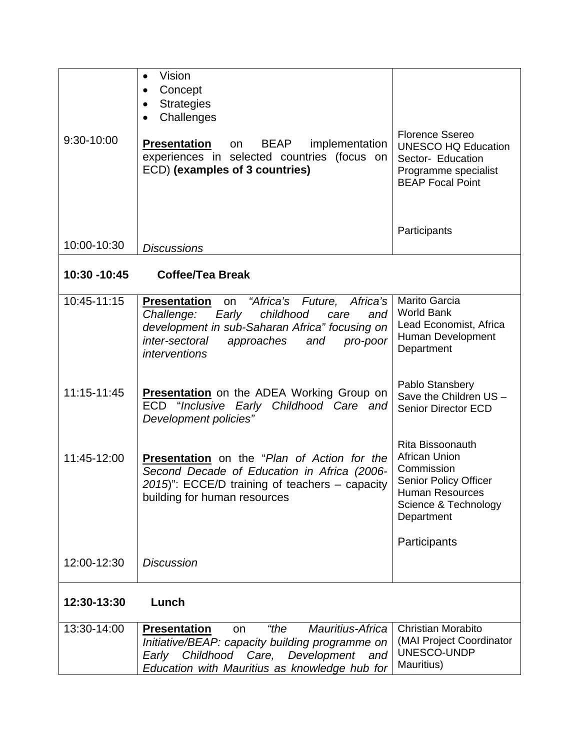| 9:30-10:00   | Vision<br>Concept<br>$\bullet$<br><b>Strategies</b><br>$\bullet$<br>Challenges<br>$\bullet$<br><b>Presentation</b><br><b>BEAP</b><br>implementation<br>on<br>experiences in selected countries (focus on<br>ECD) (examples of 3 countries) | <b>Florence Ssereo</b><br><b>UNESCO HQ Education</b><br>Sector- Education<br>Programme specialist<br><b>BEAP Focal Point</b>                    |
|--------------|--------------------------------------------------------------------------------------------------------------------------------------------------------------------------------------------------------------------------------------------|-------------------------------------------------------------------------------------------------------------------------------------------------|
| 10:00-10:30  | <b>Discussions</b>                                                                                                                                                                                                                         | Participants                                                                                                                                    |
| 10:30 -10:45 | Coffee/Tea Break                                                                                                                                                                                                                           |                                                                                                                                                 |
| 10:45-11:15  | "Africa's Future, Africa's<br><b>Presentation</b><br>on<br>Early<br>childhood<br>and<br>Challenge:<br>care<br>development in sub-Saharan Africa" focusing on<br>inter-sectoral<br>approaches<br>and<br>pro-poor<br>interventions           | Marito Garcia<br><b>World Bank</b><br>Lead Economist, Africa<br>Human Development<br>Department                                                 |
| 11:15-11:45  | <b>Presentation</b> on the ADEA Working Group on<br>ECD "Inclusive Early Childhood Care and<br>Development policies"                                                                                                                       | Pablo Stansbery<br>Save the Children US -<br><b>Senior Director ECD</b>                                                                         |
| 11:45-12:00  | Presentation on the "Plan of Action for the<br>Second Decade of Education in Africa (2006-<br>2015)": ECCE/D training of teachers - capacity<br>building for human resources                                                               | Rita Bissoonauth<br>African Union<br>Commission<br><b>Senior Policy Officer</b><br><b>Human Resources</b><br>Science & Technology<br>Department |
|              |                                                                                                                                                                                                                                            | Participants                                                                                                                                    |
| 12:00-12:30  | <b>Discussion</b>                                                                                                                                                                                                                          |                                                                                                                                                 |
| 12:30-13:30  | Lunch                                                                                                                                                                                                                                      |                                                                                                                                                 |
| 13:30-14:00  | "the<br>Mauritius-Africa<br><b>Presentation</b><br>on<br>Initiative/BEAP: capacity building programme on<br>Early Childhood Care, Development<br>and<br>Education with Mauritius as knowledge hub for                                      | <b>Christian Morabito</b><br>(MAI Project Coordinator<br>UNESCO-UNDP<br>Mauritius)                                                              |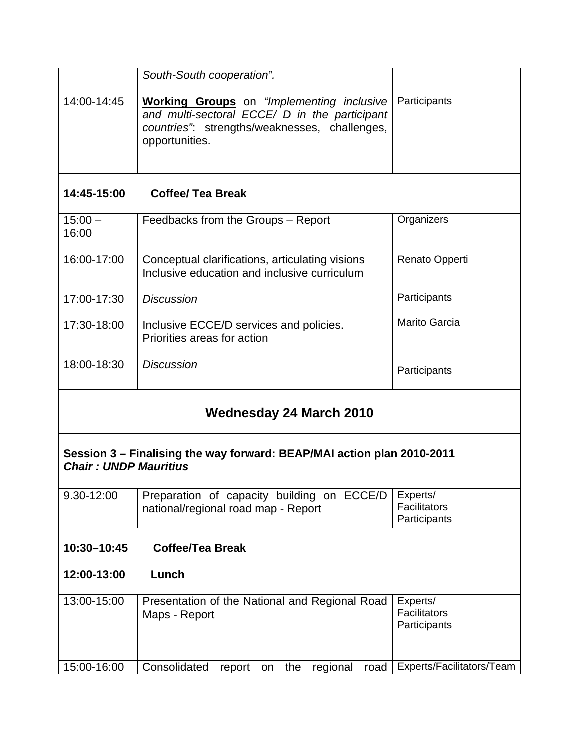|                    | South-South cooperation".                                                                                                                                            |                      |
|--------------------|----------------------------------------------------------------------------------------------------------------------------------------------------------------------|----------------------|
| 14:00-14:45        | <b>Working Groups</b> on "Implementing inclusive<br>and multi-sectoral ECCE/ D in the participant<br>countries": strengths/weaknesses, challenges,<br>opportunities. | Participants         |
| 14:45-15:00        | <b>Coffee/ Tea Break</b>                                                                                                                                             |                      |
| $15:00 -$<br>16:00 | Feedbacks from the Groups – Report                                                                                                                                   | Organizers           |
| 16:00-17:00        | Conceptual clarifications, articulating visions<br>Inclusive education and inclusive curriculum                                                                      | Renato Opperti       |
| 17:00-17:30        | <b>Discussion</b>                                                                                                                                                    | Participants         |
| 17:30-18:00        | Inclusive ECCE/D services and policies.                                                                                                                              | <b>Marito Garcia</b> |

| Session 3 – Finalising the way forward: BEAP/MAI action plan 2010-2011 |
|------------------------------------------------------------------------|
| <b>Chair: UNDP Mauritius</b>                                           |

Priorities areas for action

*Discussion* 

| $9.30 - 12:00$ | Preparation of capacity building on ECCE/D Experts/ |                              |
|----------------|-----------------------------------------------------|------------------------------|
|                | national/regional road map - Report                 | Facilitators<br>Participants |
|                |                                                     |                              |

**Wednesday 24 March 2010** 

**Participants** 

## **10:30–10:45 Coffee/Tea Break**

18:00-18:30

| 12:00-13:00 | Lunch                                                           |                                          |
|-------------|-----------------------------------------------------------------|------------------------------------------|
| 13:00-15:00 | Presentation of the National and Regional Road<br>Maps - Report | Experts/<br>Facilitators<br>Participants |
| 15:00-16:00 | Consolidated<br>road<br>regional<br>the<br>report<br>on.        | Experts/Facilitators/Team                |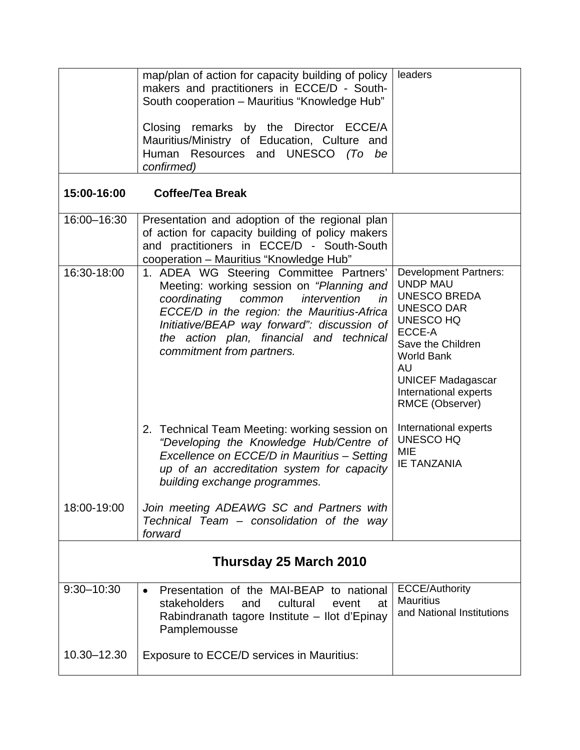|                        | map/plan of action for capacity building of policy<br>makers and practitioners in ECCE/D - South-<br>South cooperation - Mauritius "Knowledge Hub"<br>Closing remarks by the Director ECCE/A<br>Mauritius/Ministry of Education, Culture and<br>Human Resources and UNESCO (To be<br>confirmed)            | leaders                                                                                                                                                                                                                                                  |
|------------------------|------------------------------------------------------------------------------------------------------------------------------------------------------------------------------------------------------------------------------------------------------------------------------------------------------------|----------------------------------------------------------------------------------------------------------------------------------------------------------------------------------------------------------------------------------------------------------|
| 15:00-16:00            | <b>Coffee/Tea Break</b>                                                                                                                                                                                                                                                                                    |                                                                                                                                                                                                                                                          |
| 16:00-16:30            | Presentation and adoption of the regional plan<br>of action for capacity building of policy makers<br>and practitioners in ECCE/D - South-South<br>cooperation - Mauritius "Knowledge Hub"                                                                                                                 |                                                                                                                                                                                                                                                          |
| 16:30-18:00            | 1. ADEA WG Steering Committee Partners'<br>Meeting: working session on "Planning and<br>coordinating<br>common<br>intervention<br>in<br>ECCE/D in the region: the Mauritius-Africa<br>Initiative/BEAP way forward": discussion of<br>the action plan, financial and technical<br>commitment from partners. | <b>Development Partners:</b><br><b>UNDP MAU</b><br><b>UNESCO BREDA</b><br><b>UNESCO DAR</b><br><b>UNESCO HQ</b><br>ECCE-A<br>Save the Children<br><b>World Bank</b><br><b>AU</b><br><b>UNICEF Madagascar</b><br>International experts<br>RMCE (Observer) |
|                        | 2. Technical Team Meeting: working session on<br>"Developing the Knowledge Hub/Centre of<br>Excellence on ECCE/D in Mauritius - Setting<br>up of an accreditation system for capacity<br>building exchange programmes.                                                                                     | International experts<br><b>UNESCO HQ</b><br><b>MIE</b><br><b>IE TANZANIA</b>                                                                                                                                                                            |
| 18:00-19:00            | Join meeting ADEAWG SC and Partners with<br>Technical Team - consolidation of the way<br>forward                                                                                                                                                                                                           |                                                                                                                                                                                                                                                          |
| Thursday 25 March 2010 |                                                                                                                                                                                                                                                                                                            |                                                                                                                                                                                                                                                          |
| $9:30 - 10:30$         | Presentation of the MAI-BEAP to national<br>$\bullet$<br>stakeholders<br>cultural<br>and<br>event<br>at<br>Rabindranath tagore Institute - Ilot d'Epinay<br>Pamplemousse                                                                                                                                   | <b>ECCE/Authority</b><br><b>Mauritius</b><br>and National Institutions                                                                                                                                                                                   |
| 10.30-12.30            | Exposure to ECCE/D services in Mauritius:                                                                                                                                                                                                                                                                  |                                                                                                                                                                                                                                                          |